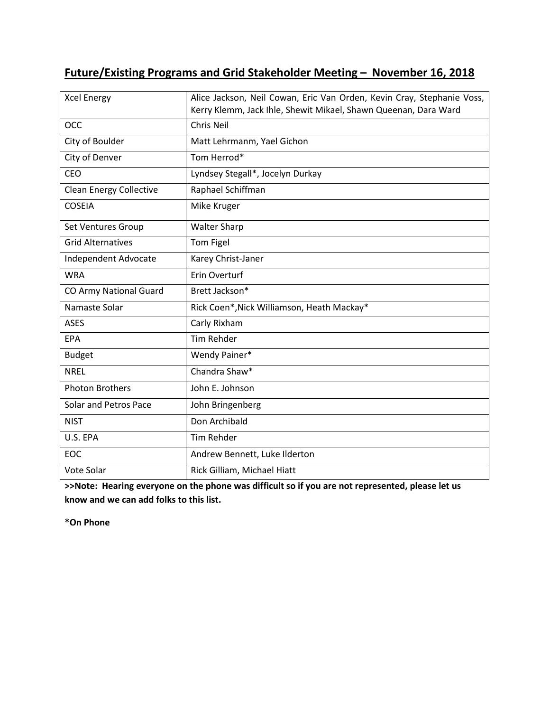# **Future/Existing Programs and Grid Stakeholder Meeting – November 16, 2018**

| <b>Xcel Energy</b>             | Alice Jackson, Neil Cowan, Eric Van Orden, Kevin Cray, Stephanie Voss,<br>Kerry Klemm, Jack Ihle, Shewit Mikael, Shawn Queenan, Dara Ward |
|--------------------------------|-------------------------------------------------------------------------------------------------------------------------------------------|
| <b>OCC</b>                     | <b>Chris Neil</b>                                                                                                                         |
| City of Boulder                | Matt Lehrmanm, Yael Gichon                                                                                                                |
| City of Denver                 | Tom Herrod*                                                                                                                               |
| <b>CEO</b>                     | Lyndsey Stegall*, Jocelyn Durkay                                                                                                          |
| <b>Clean Energy Collective</b> | Raphael Schiffman                                                                                                                         |
| <b>COSEIA</b>                  | Mike Kruger                                                                                                                               |
| Set Ventures Group             | <b>Walter Sharp</b>                                                                                                                       |
| <b>Grid Alternatives</b>       | Tom Figel                                                                                                                                 |
| Independent Advocate           | Karey Christ-Janer                                                                                                                        |
| <b>WRA</b>                     | <b>Erin Overturf</b>                                                                                                                      |
| CO Army National Guard         | Brett Jackson*                                                                                                                            |
| Namaste Solar                  | Rick Coen*, Nick Williamson, Heath Mackay*                                                                                                |
| <b>ASES</b>                    | Carly Rixham                                                                                                                              |
| EPA                            | <b>Tim Rehder</b>                                                                                                                         |
| <b>Budget</b>                  | Wendy Painer*                                                                                                                             |
| <b>NREL</b>                    | Chandra Shaw*                                                                                                                             |
| <b>Photon Brothers</b>         | John E. Johnson                                                                                                                           |
| Solar and Petros Pace          | John Bringenberg                                                                                                                          |
| <b>NIST</b>                    | Don Archibald                                                                                                                             |
| U.S. EPA                       | <b>Tim Rehder</b>                                                                                                                         |
| EOC                            | Andrew Bennett, Luke Ilderton                                                                                                             |
| Vote Solar                     | Rick Gilliam, Michael Hiatt                                                                                                               |

**>>Note: Hearing everyone on the phone was difficult so if you are not represented, please let us know and we can add folks to this list.** 

**\*On Phone**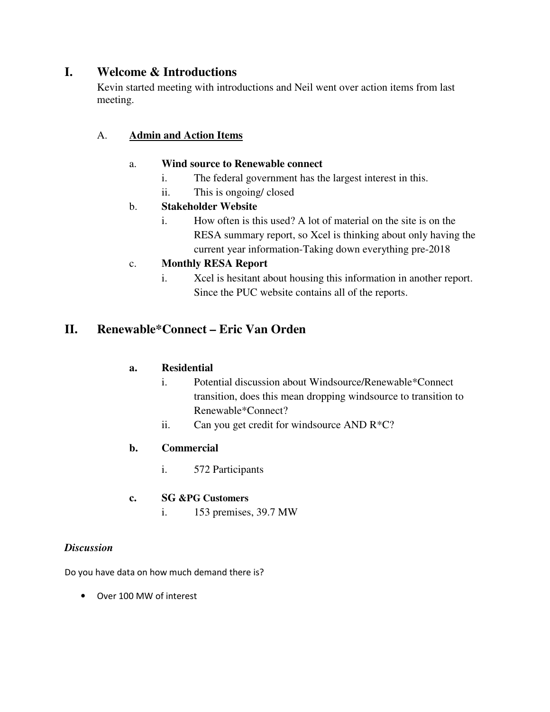# **I. Welcome & Introductions**

Kevin started meeting with introductions and Neil went over action items from last meeting.

## A. **Admin and Action Items**

## a. **Wind source to Renewable connect**

- i. The federal government has the largest interest in this.
- ii. This is ongoing/ closed

## b. **Stakeholder Website**

i. How often is this used? A lot of material on the site is on the RESA summary report, so Xcel is thinking about only having the current year information-Taking down everything pre-2018

## c. **Monthly RESA Report**

i. Xcel is hesitant about housing this information in another report. Since the PUC website contains all of the reports.

# **II. Renewable\*Connect – Eric Van Orden**

## **a. Residential**

- i. Potential discussion about Windsource/Renewable\*Connect transition, does this mean dropping windsource to transition to Renewable\*Connect?
- ii. Can you get credit for windsource AND R\*C?

## **b. Commercial**

- i. 572 Participants
- **c. SG &PG Customers**
	- i. 153 premises, 39.7 MW

## *Discussion*

Do you have data on how much demand there is?

• Over 100 MW of interest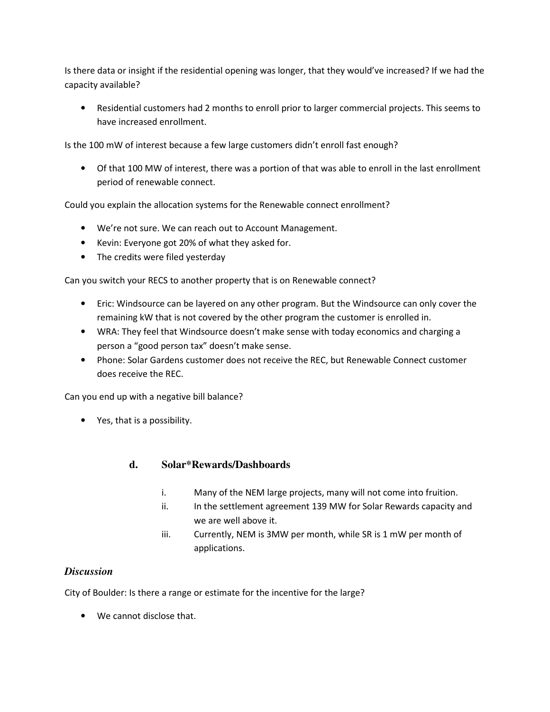Is there data or insight if the residential opening was longer, that they would've increased? If we had the capacity available?

• Residential customers had 2 months to enroll prior to larger commercial projects. This seems to have increased enrollment.

Is the 100 mW of interest because a few large customers didn't enroll fast enough?

• Of that 100 MW of interest, there was a portion of that was able to enroll in the last enrollment period of renewable connect.

Could you explain the allocation systems for the Renewable connect enrollment?

- We're not sure. We can reach out to Account Management.
- Kevin: Everyone got 20% of what they asked for.
- The credits were filed yesterday

Can you switch your RECS to another property that is on Renewable connect?

- Eric: Windsource can be layered on any other program. But the Windsource can only cover the remaining kW that is not covered by the other program the customer is enrolled in.
- WRA: They feel that Windsource doesn't make sense with today economics and charging a person a "good person tax" doesn't make sense.
- Phone: Solar Gardens customer does not receive the REC, but Renewable Connect customer does receive the REC.

Can you end up with a negative bill balance?

• Yes, that is a possibility.

#### **d. Solar\*Rewards/Dashboards**

- i. Many of the NEM large projects, many will not come into fruition.
- ii. In the settlement agreement 139 MW for Solar Rewards capacity and we are well above it.
- iii. Currently, NEM is 3MW per month, while SR is 1 mW per month of applications.

## *Discussion*

City of Boulder: Is there a range or estimate for the incentive for the large?

• We cannot disclose that.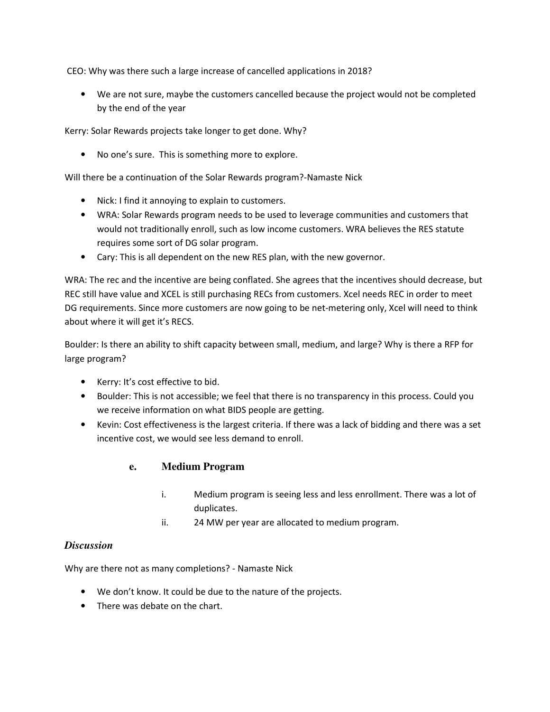CEO: Why was there such a large increase of cancelled applications in 2018?

• We are not sure, maybe the customers cancelled because the project would not be completed by the end of the year

Kerry: Solar Rewards projects take longer to get done. Why?

• No one's sure. This is something more to explore.

Will there be a continuation of the Solar Rewards program?-Namaste Nick

- Nick: I find it annoying to explain to customers.
- WRA: Solar Rewards program needs to be used to leverage communities and customers that would not traditionally enroll, such as low income customers. WRA believes the RES statute requires some sort of DG solar program.
- Cary: This is all dependent on the new RES plan, with the new governor.

WRA: The rec and the incentive are being conflated. She agrees that the incentives should decrease, but REC still have value and XCEL is still purchasing RECs from customers. Xcel needs REC in order to meet DG requirements. Since more customers are now going to be net-metering only, Xcel will need to think about where it will get it's RECS.

Boulder: Is there an ability to shift capacity between small, medium, and large? Why is there a RFP for large program?

- Kerry: It's cost effective to bid.
- Boulder: This is not accessible; we feel that there is no transparency in this process. Could you we receive information on what BIDS people are getting.
- Kevin: Cost effectiveness is the largest criteria. If there was a lack of bidding and there was a set incentive cost, we would see less demand to enroll.

#### **e. Medium Program**

- i. Medium program is seeing less and less enrollment. There was a lot of duplicates.
- ii. 24 MW per year are allocated to medium program.

#### *Discussion*

Why are there not as many completions? - Namaste Nick

- We don't know. It could be due to the nature of the projects.
- There was debate on the chart.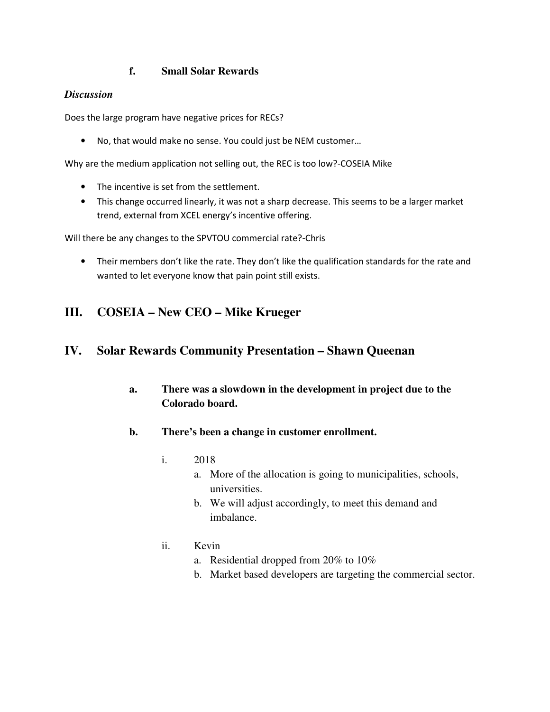## **f. Small Solar Rewards**

#### *Discussion*

Does the large program have negative prices for RECs?

• No, that would make no sense. You could just be NEM customer…

Why are the medium application not selling out, the REC is too low?-COSEIA Mike

- The incentive is set from the settlement.
- This change occurred linearly, it was not a sharp decrease. This seems to be a larger market trend, external from XCEL energy's incentive offering.

Will there be any changes to the SPVTOU commercial rate?-Chris

• Their members don't like the rate. They don't like the qualification standards for the rate and wanted to let everyone know that pain point still exists.

# **III. COSEIA – New CEO – Mike Krueger**

## **IV. Solar Rewards Community Presentation – Shawn Queenan**

- **a. There was a slowdown in the development in project due to the Colorado board.**
- **b. There's been a change in customer enrollment.** 
	- i. 2018
		- a. More of the allocation is going to municipalities, schools, universities.
		- b. We will adjust accordingly, to meet this demand and imbalance.
	- ii. Kevin
		- a. Residential dropped from 20% to 10%
		- b. Market based developers are targeting the commercial sector.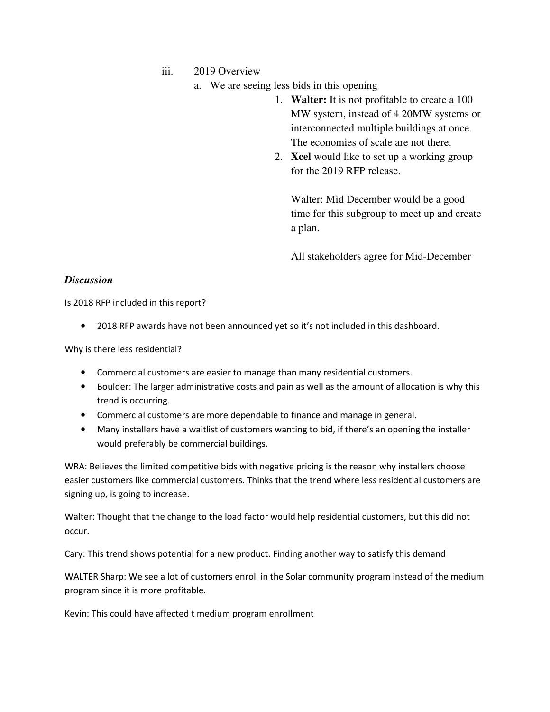iii. 2019 Overview

- a. We are seeing less bids in this opening
	- 1. **Walter:** It is not profitable to create a 100 MW system, instead of 4 20MW systems or interconnected multiple buildings at once. The economies of scale are not there.
	- 2. **Xcel** would like to set up a working group for the 2019 RFP release.

Walter: Mid December would be a good time for this subgroup to meet up and create a plan.

All stakeholders agree for Mid-December

#### *Discussion*

Is 2018 RFP included in this report?

• 2018 RFP awards have not been announced yet so it's not included in this dashboard.

Why is there less residential?

- Commercial customers are easier to manage than many residential customers.
- Boulder: The larger administrative costs and pain as well as the amount of allocation is why this trend is occurring.
- Commercial customers are more dependable to finance and manage in general.
- Many installers have a waitlist of customers wanting to bid, if there's an opening the installer would preferably be commercial buildings.

WRA: Believes the limited competitive bids with negative pricing is the reason why installers choose easier customers like commercial customers. Thinks that the trend where less residential customers are signing up, is going to increase.

Walter: Thought that the change to the load factor would help residential customers, but this did not occur.

Cary: This trend shows potential for a new product. Finding another way to satisfy this demand

WALTER Sharp: We see a lot of customers enroll in the Solar community program instead of the medium program since it is more profitable.

Kevin: This could have affected t medium program enrollment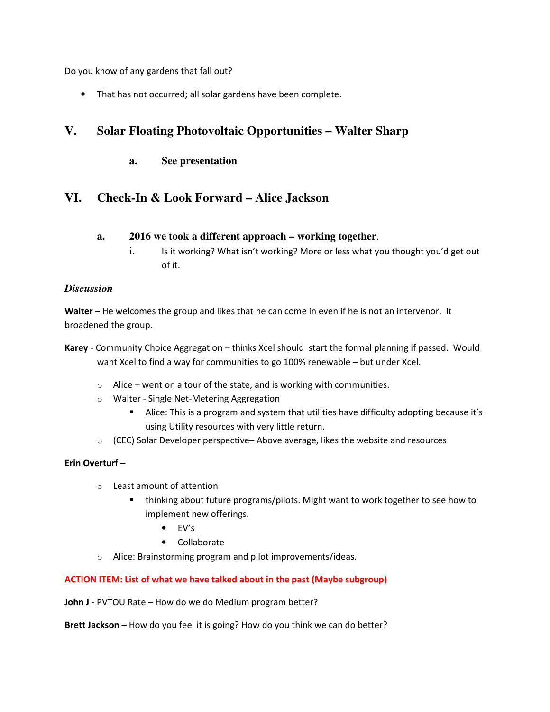Do you know of any gardens that fall out?

That has not occurred; all solar gardens have been complete.

# **V. Solar Floating Photovoltaic Opportunities – Walter Sharp**

**a. See presentation** 

# **VI. Check-In & Look Forward – Alice Jackson**

- **a. 2016 we took a different approach working together**.
	- i. Is it working? What isn't working? More or less what you thought you'd get out of it.

#### *Discussion*

**Walter** – He welcomes the group and likes that he can come in even if he is not an intervenor. It broadened the group.

- **Karey**  Community Choice Aggregation thinks Xcel should start the formal planning if passed. Would want Xcel to find a way for communities to go 100% renewable – but under Xcel.
	- $\circ$  Alice went on a tour of the state, and is working with communities.
	- o Walter Single Net-Metering Aggregation
		- Alice: This is a program and system that utilities have difficulty adopting because it's using Utility resources with very little return.
	- o (CEC) Solar Developer perspective– Above average, likes the website and resources

#### **Erin Overturf –**

- o Least amount of attention
	- thinking about future programs/pilots. Might want to work together to see how to implement new offerings.
		- $\bullet$  FV's
		- Collaborate
- o Alice: Brainstorming program and pilot improvements/ideas.

#### **ACTION ITEM: List of what we have talked about in the past (Maybe subgroup)**

**John J** - PVTOU Rate – How do we do Medium program better?

**Brett Jackson –** How do you feel it is going? How do you think we can do better?